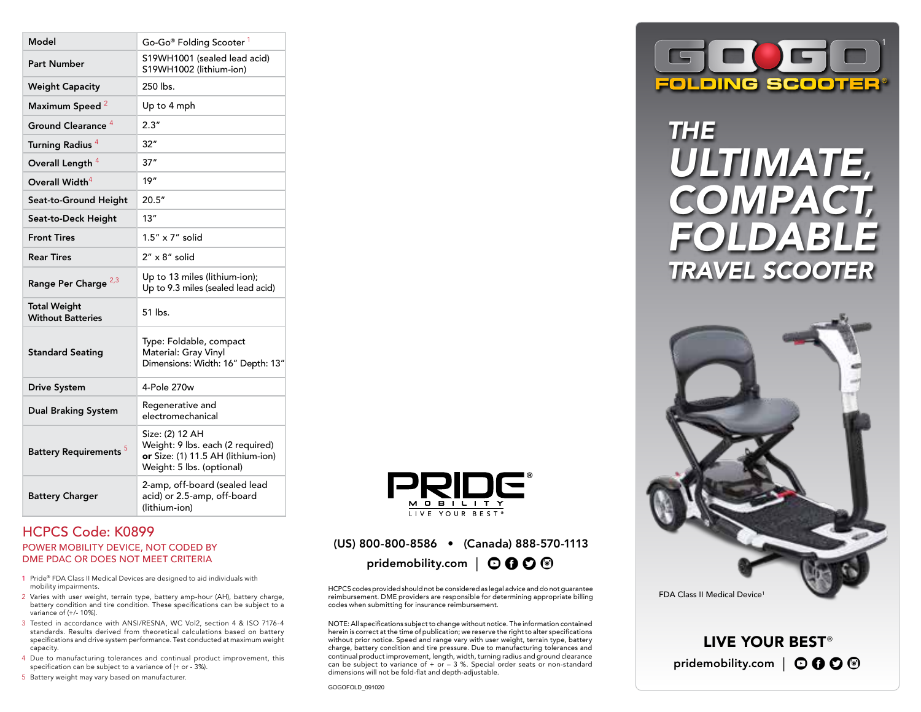| Model                                           | Go-Go® Folding Scooter 1                                                                                               |
|-------------------------------------------------|------------------------------------------------------------------------------------------------------------------------|
| <b>Part Number</b>                              | S19WH1001 (sealed lead acid)<br>S19WH1002 (lithium-ion)                                                                |
| <b>Weight Capacity</b>                          | 250 lbs.                                                                                                               |
| Maximum Speed <sup>2</sup>                      | Up to 4 mph                                                                                                            |
| Ground Clearance <sup>4</sup>                   | 2.3''                                                                                                                  |
| Turning Radius <sup>4</sup>                     | 32"                                                                                                                    |
| Overall Length <sup>4</sup>                     | 37''                                                                                                                   |
| Overall Width <sup>4</sup>                      | 19"                                                                                                                    |
| Seat-to-Ground Height                           | 20.5"                                                                                                                  |
| Seat-to-Deck Height                             | 13"                                                                                                                    |
| <b>Front Tires</b>                              | 1.5" x 7" solid                                                                                                        |
| <b>Rear Tires</b>                               | $2'' \times 8''$ solid                                                                                                 |
| Range Per Charge <sup>2,3</sup>                 | Up to 13 miles (lithium-ion);<br>Up to 9.3 miles (sealed lead acid)                                                    |
| <b>Total Weight</b><br><b>Without Batteries</b> | 51 lbs.                                                                                                                |
| <b>Standard Seating</b>                         | Type: Foldable, compact<br>Material: Gray Vinyl<br>Dimensions: Width: 16" Depth: 13"                                   |
| <b>Drive System</b>                             | 4-Pole 270w                                                                                                            |
| <b>Dual Braking System</b>                      | Regenerative and<br>electromechanical                                                                                  |
| Battery Requirements <sup>5</sup>               | Size: (2) 12 AH<br>Weight: 9 lbs. each (2 required)<br>or Size: (1) 11.5 AH (lithium-ion)<br>Weight: 5 lbs. (optional) |
| <b>Battery Charger</b>                          | 2-amp, off-board (sealed lead<br>acid) or 2.5-amp, off-board<br>(lithium-ion)                                          |

### HCPCS Code: K0899 POWER MOBILITY DEVICE, NOT CODED BY DME PDAC OR DOES NOT MEET CRITERIA

- 1 Pride® FDA Class II Medical Devices are designed to aid individuals with mobility impairments.
- 2 Varies with user weight, terrain type, battery amp-hour (AH), battery charge, battery condition and tire condition. These specifications can be subject to a variance of (+/- 10%).
- 3 Tested in accordance with ANSI/RESNA, WC Vol2, section 4 & ISO 7176-4 standards. Results derived from theoretical calculations based on battery specifications and drive system performance. Test conducted at maximum weight capacity.
- 4 Due to manufacturing tolerances and continual product improvement, this specification can be subject to a variance of (+ or - 3%).
- 5 Battery weight may vary based on manufacturer.



### (US) 800-800-8586 • (Canada) 888-570-1113

pridemobility.com |  $\odot$  0  $\odot$  <sup>®</sup>

HCPCS codes provided should not be considered as legal advice and do not guarantee reimbursement. DME providers are responsible for determining appropriate billing codes when submitting for insurance reimbursement.

NOTE: All specifications subject to change without notice. The information contained herein is correct at the time of publication; we reserve the right to alter specifications without prior notice. Speed and range vary with user weight, terrain type, battery charge, battery condition and tire pressure. Due to manufacturing tolerances and continual product improvement, length, width, turning radius and ground clearance can be subject to variance of  $+$  or  $-$  3 %. Special order seats or non-standard dimensions will not be fold-flat and depth-adjustable.



## *THE ULTIMATE, COMPACT, FOLDABLE TRAVEL SCOOTER*



LIVE YOUR BEST<sup>®</sup> pridemobility.com  $\mathcal{O} \mathbf{0} \mathbf{0}$